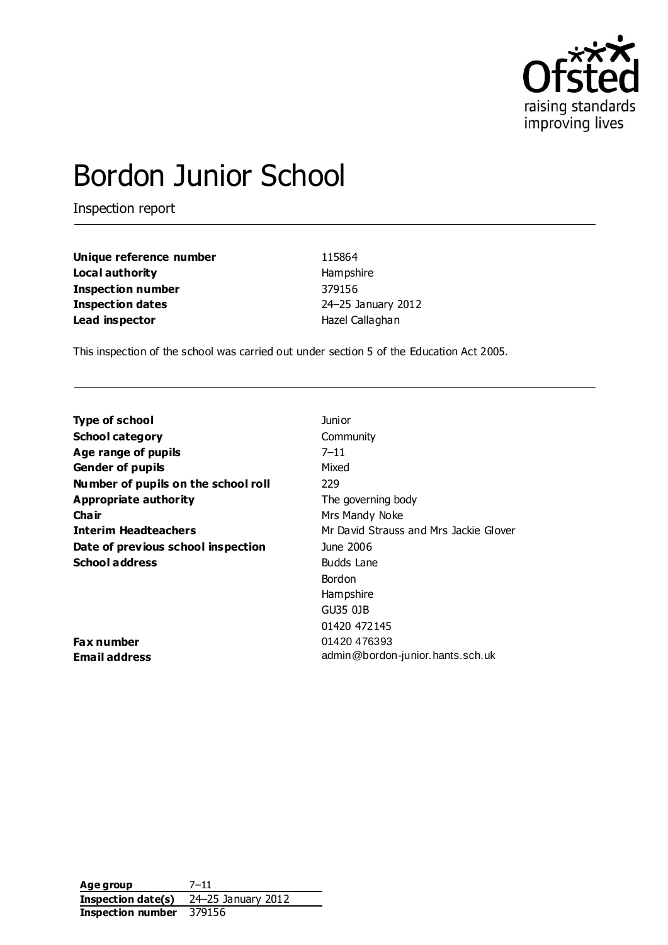

# Bordon Junior School

Inspection report

| Unique reference number  | 115864             |
|--------------------------|--------------------|
| Local authority          | Hampshire          |
| <b>Inspection number</b> | 379156             |
| <b>Inspection dates</b>  | 24-25 January 2012 |
| Lead inspector           | Hazel Callaghan    |

This inspection of the school was carried out under section 5 of the Education Act 2005.

| Type of school                      | Junior                                 |
|-------------------------------------|----------------------------------------|
| <b>School category</b>              | Community                              |
| Age range of pupils                 | $7 - 11$                               |
| <b>Gender of pupils</b>             | Mixed                                  |
| Number of pupils on the school roll | 229                                    |
| <b>Appropriate authority</b>        | The governing body                     |
| Cha ir                              | Mrs Mandy Noke                         |
| <b>Interim Headteachers</b>         | Mr David Strauss and Mrs Jackie Glover |
| Date of previous school inspection  | June 2006                              |
| <b>School address</b>               | Budds Lane                             |
|                                     | Bordon                                 |
|                                     | Hampshire                              |
|                                     | GU35 0JB                               |
|                                     | 01420 472145                           |
| Fax number                          | 01420 476393                           |
| Email address                       | admin@bordon-junior.hants.sch.uk       |

**Age group** 7–11 **Inspection date(s)** 24–25 January 2012 **Inspection number** 379156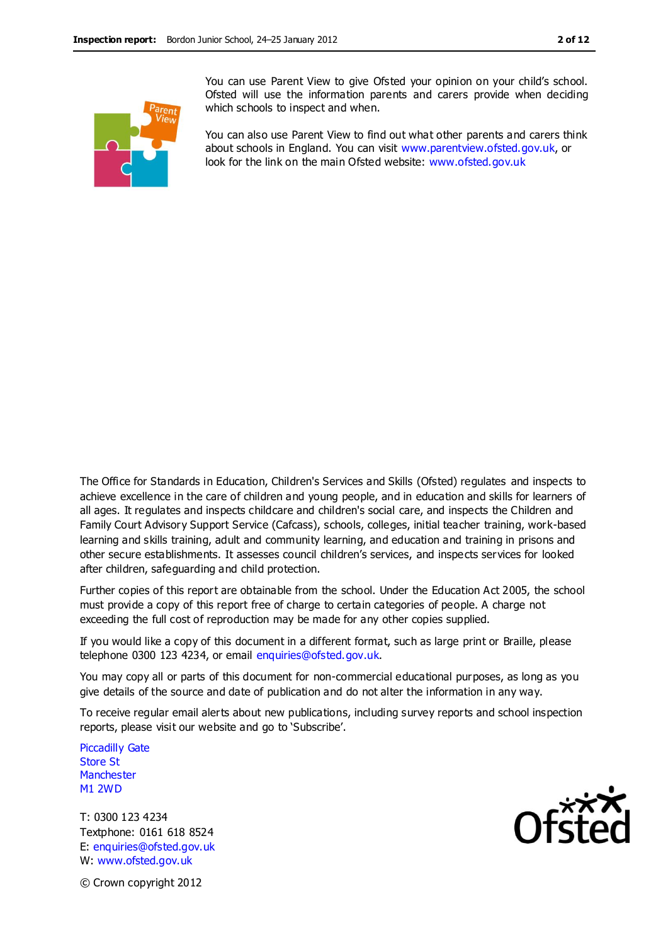You can use Parent View to give Ofsted your opinion on your child's school. Ofsted will use the information parents and carers provide when deciding which schools to inspect and when.

You can also use Parent View to find out what other parents and carers think about schools in England. You can visit [www.parentview.ofsted.gov.uk,](http://www.parentview.ofsted.gov.uk/) or look for the link on the main Ofsted website: [www.ofsted.gov.uk](http://www.ofsted.gov.uk/)

The Office for Standards in Education, Children's Services and Skills (Ofsted) regulates and inspects to achieve excellence in the care of children and young people, and in education and skills for learners of all ages. It regulates and inspects childcare and children's social care, and inspects the Children and Family Court Advisory Support Service (Cafcass), schools, colleges, initial teacher training, work-based learning and skills training, adult and community learning, and education and training in prisons and other secure establishments. It assesses council children's services, and inspects services for looked after children, safeguarding and child protection.

Further copies of this report are obtainable from the school. Under the Education Act 2005, the school must provide a copy of this report free of charge to certain categories of people. A charge not exceeding the full cost of reproduction may be made for any other copies supplied.

If you would like a copy of this document in a different format, such as large print or Braille, please telephone 0300 123 4234, or email enquiries@ofsted.gov.uk.

You may copy all or parts of this document for non-commercial educational purposes, as long as you give details of the source and date of publication and do not alter the information in any way.

To receive regular email alerts about new publications, including survey reports and school inspection reports, please visit our website and go to 'Subscribe'.

Piccadilly Gate Store St **Manchester** M1 2WD

T: 0300 123 4234 Textphone: 0161 618 8524 E: enquiries@ofsted.gov.uk W: www.ofsted.gov.uk



© Crown copyright 2012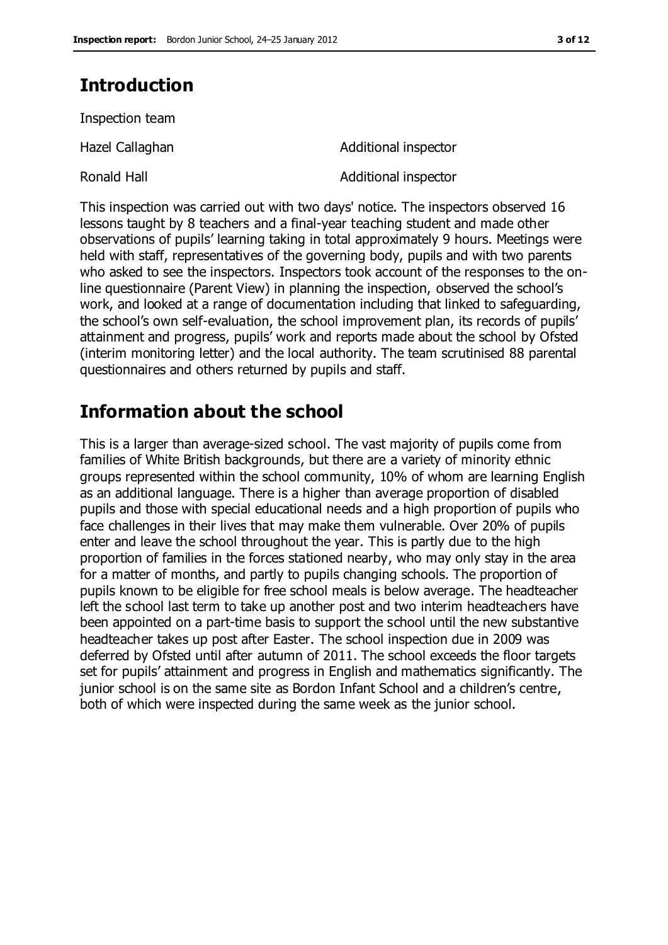# **Introduction**

Inspection team

Ronald Hall **Additional inspector** 

Hazel Callaghan **Additional inspector** 

This inspection was carried out with two days' notice. The inspectors observed 16 lessons taught by 8 teachers and a final-year teaching student and made other observations of pupils' learning taking in total approximately 9 hours. Meetings were held with staff, representatives of the governing body, pupils and with two parents who asked to see the inspectors. Inspectors took account of the responses to the online questionnaire (Parent View) in planning the inspection, observed the school's work, and looked at a range of documentation including that linked to safeguarding, the school's own self-evaluation, the school improvement plan, its records of pupils' attainment and progress, pupils' work and reports made about the school by Ofsted (interim monitoring letter) and the local authority. The team scrutinised 88 parental questionnaires and others returned by pupils and staff.

# **Information about the school**

This is a larger than average-sized school. The vast majority of pupils come from families of White British backgrounds, but there are a variety of minority ethnic groups represented within the school community, 10% of whom are learning English as an additional language. There is a higher than average proportion of disabled pupils and those with special educational needs and a high proportion of pupils who face challenges in their lives that may make them vulnerable. Over 20% of pupils enter and leave the school throughout the year. This is partly due to the high proportion of families in the forces stationed nearby, who may only stay in the area for a matter of months, and partly to pupils changing schools. The proportion of pupils known to be eligible for free school meals is below average. The headteacher left the school last term to take up another post and two interim headteachers have been appointed on a part-time basis to support the school until the new substantive headteacher takes up post after Easter. The school inspection due in 2009 was deferred by Ofsted until after autumn of 2011. The school exceeds the floor targets set for pupils' attainment and progress in English and mathematics significantly. The junior school is on the same site as Bordon Infant School and a children's centre, both of which were inspected during the same week as the junior school.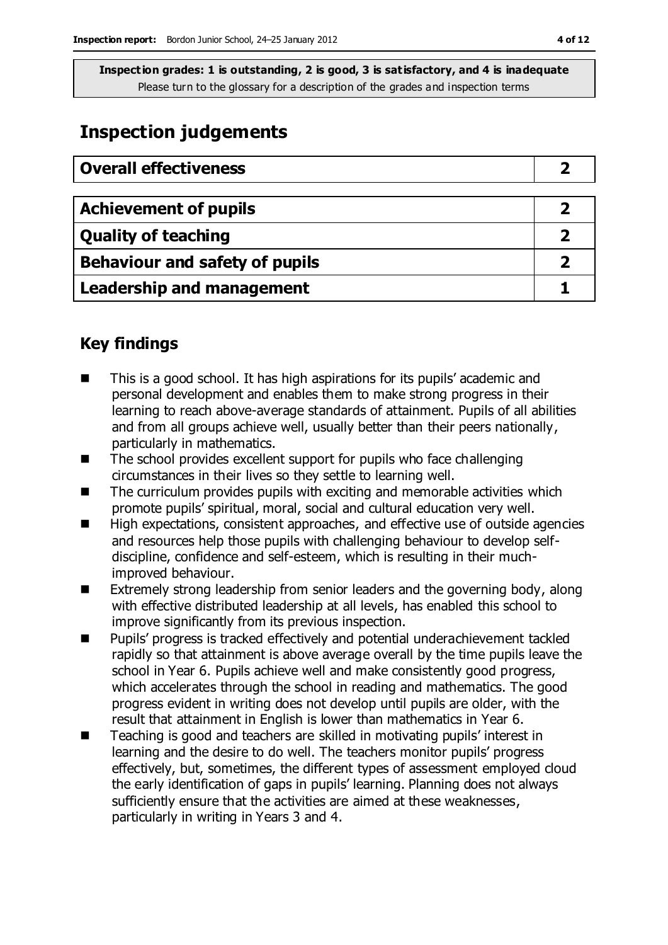**Inspection grades: 1 is outstanding, 2 is good, 3 is satisfactory, and 4 is inadequate** Please turn to the glossary for a description of the grades and inspection terms

## **Inspection judgements**

| <b>Overall effectiveness</b>          |  |
|---------------------------------------|--|
|                                       |  |
| <b>Achievement of pupils</b>          |  |
| <b>Quality of teaching</b>            |  |
| <b>Behaviour and safety of pupils</b> |  |
| <b>Leadership and management</b>      |  |

### **Key findings**

- This is a good school. It has high aspirations for its pupils' academic and personal development and enables them to make strong progress in their learning to reach above-average standards of attainment. Pupils of all abilities and from all groups achieve well, usually better than their peers nationally, particularly in mathematics.
- The school provides excellent support for pupils who face challenging circumstances in their lives so they settle to learning well.
- $\blacksquare$  The curriculum provides pupils with exciting and memorable activities which promote pupils' spiritual, moral, social and cultural education very well.
- High expectations, consistent approaches, and effective use of outside agencies and resources help those pupils with challenging behaviour to develop selfdiscipline, confidence and self-esteem, which is resulting in their muchimproved behaviour.
- Extremely strong leadership from senior leaders and the governing body, along with effective distributed leadership at all levels, has enabled this school to improve significantly from its previous inspection.
- Pupils' progress is tracked effectively and potential underachievement tackled rapidly so that attainment is above average overall by the time pupils leave the school in Year 6. Pupils achieve well and make consistently good progress, which accelerates through the school in reading and mathematics. The good progress evident in writing does not develop until pupils are older, with the result that attainment in English is lower than mathematics in Year 6.
- Teaching is good and teachers are skilled in motivating pupils' interest in learning and the desire to do well. The teachers monitor pupils' progress effectively, but, sometimes, the different types of assessment employed cloud the early identification of gaps in pupils' learning. Planning does not always sufficiently ensure that the activities are aimed at these weaknesses, particularly in writing in Years 3 and 4.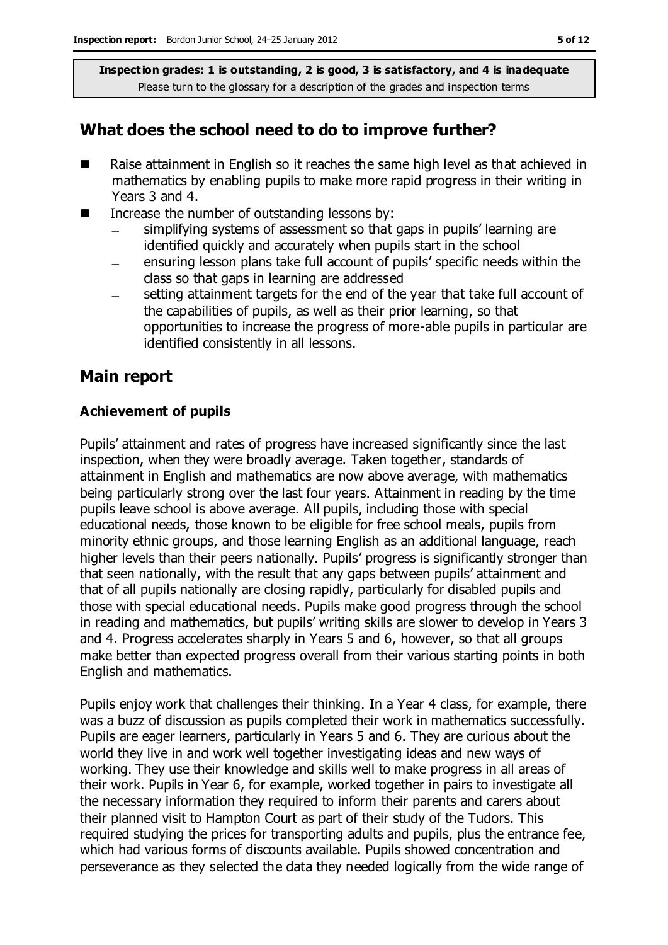**Inspection grades: 1 is outstanding, 2 is good, 3 is satisfactory, and 4 is inadequate** Please turn to the glossary for a description of the grades and inspection terms

### **What does the school need to do to improve further?**

- Raise attainment in English so it reaches the same high level as that achieved in mathematics by enabling pupils to make more rapid progress in their writing in Years 3 and 4.
- $\blacksquare$  Increase the number of outstanding lessons by:
	- simplifying systems of assessment so that gaps in pupils' learning are  $\equiv$ identified quickly and accurately when pupils start in the school
	- ensuring lesson plans take full account of pupils' specific needs within the class so that gaps in learning are addressed
	- setting attainment targets for the end of the year that take full account of the capabilities of pupils, as well as their prior learning, so that opportunities to increase the progress of more-able pupils in particular are identified consistently in all lessons.

### **Main report**

#### **Achievement of pupils**

Pupils' attainment and rates of progress have increased significantly since the last inspection, when they were broadly average. Taken together, standards of attainment in English and mathematics are now above average, with mathematics being particularly strong over the last four years. Attainment in reading by the time pupils leave school is above average. All pupils, including those with special educational needs, those known to be eligible for free school meals, pupils from minority ethnic groups, and those learning English as an additional language, reach higher levels than their peers nationally. Pupils' progress is significantly stronger than that seen nationally, with the result that any gaps between pupils' attainment and that of all pupils nationally are closing rapidly, particularly for disabled pupils and those with special educational needs. Pupils make good progress through the school in reading and mathematics, but pupils' writing skills are slower to develop in Years 3 and 4. Progress accelerates sharply in Years 5 and 6, however, so that all groups make better than expected progress overall from their various starting points in both English and mathematics.

Pupils enjoy work that challenges their thinking. In a Year 4 class, for example, there was a buzz of discussion as pupils completed their work in mathematics successfully. Pupils are eager learners, particularly in Years 5 and 6. They are curious about the world they live in and work well together investigating ideas and new ways of working. They use their knowledge and skills well to make progress in all areas of their work. Pupils in Year 6, for example, worked together in pairs to investigate all the necessary information they required to inform their parents and carers about their planned visit to Hampton Court as part of their study of the Tudors. This required studying the prices for transporting adults and pupils, plus the entrance fee, which had various forms of discounts available. Pupils showed concentration and perseverance as they selected the data they needed logically from the wide range of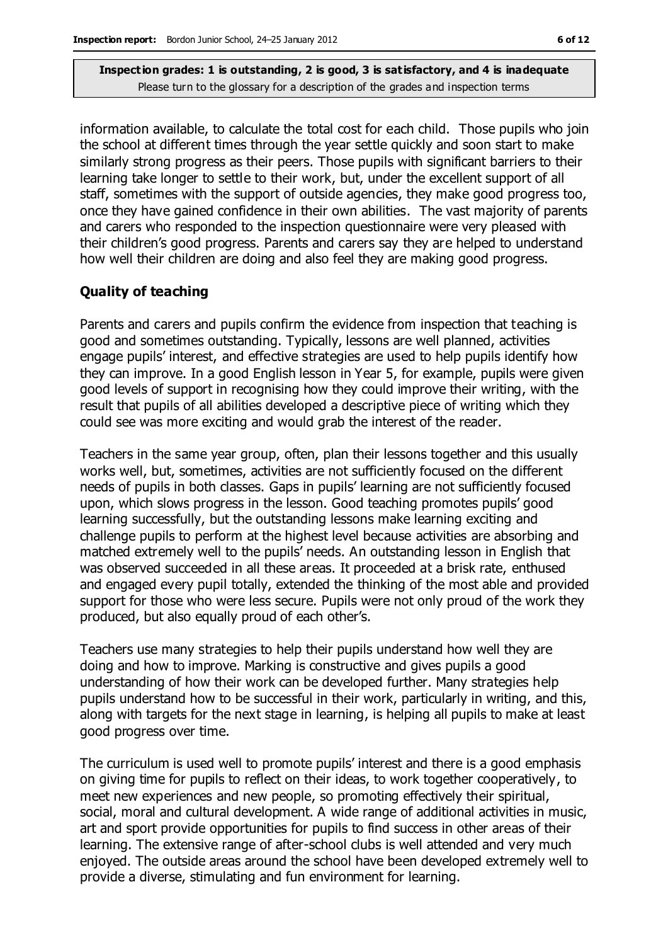**Inspection grades: 1 is outstanding, 2 is good, 3 is satisfactory, and 4 is inadequate** Please turn to the glossary for a description of the grades and inspection terms

information available, to calculate the total cost for each child. Those pupils who join the school at different times through the year settle quickly and soon start to make similarly strong progress as their peers. Those pupils with significant barriers to their learning take longer to settle to their work, but, under the excellent support of all staff, sometimes with the support of outside agencies, they make good progress too, once they have gained confidence in their own abilities. The vast majority of parents and carers who responded to the inspection questionnaire were very pleased with their children's good progress. Parents and carers say they are helped to understand how well their children are doing and also feel they are making good progress.

#### **Quality of teaching**

Parents and carers and pupils confirm the evidence from inspection that teaching is good and sometimes outstanding. Typically, lessons are well planned, activities engage pupils' interest, and effective strategies are used to help pupils identify how they can improve. In a good English lesson in Year 5, for example, pupils were given good levels of support in recognising how they could improve their writing, with the result that pupils of all abilities developed a descriptive piece of writing which they could see was more exciting and would grab the interest of the reader.

Teachers in the same year group, often, plan their lessons together and this usually works well, but, sometimes, activities are not sufficiently focused on the different needs of pupils in both classes. Gaps in pupils' learning are not sufficiently focused upon, which slows progress in the lesson. Good teaching promotes pupils' good learning successfully, but the outstanding lessons make learning exciting and challenge pupils to perform at the highest level because activities are absorbing and matched extremely well to the pupils' needs. An outstanding lesson in English that was observed succeeded in all these areas. It proceeded at a brisk rate, enthused and engaged every pupil totally, extended the thinking of the most able and provided support for those who were less secure. Pupils were not only proud of the work they produced, but also equally proud of each other's.

Teachers use many strategies to help their pupils understand how well they are doing and how to improve. Marking is constructive and gives pupils a good understanding of how their work can be developed further. Many strategies help pupils understand how to be successful in their work, particularly in writing, and this, along with targets for the next stage in learning, is helping all pupils to make at least good progress over time.

The curriculum is used well to promote pupils' interest and there is a good emphasis on giving time for pupils to reflect on their ideas, to work together cooperatively, to meet new experiences and new people, so promoting effectively their spiritual, social, moral and cultural development. A wide range of additional activities in music, art and sport provide opportunities for pupils to find success in other areas of their learning. The extensive range of after-school clubs is well attended and very much enjoyed. The outside areas around the school have been developed extremely well to provide a diverse, stimulating and fun environment for learning.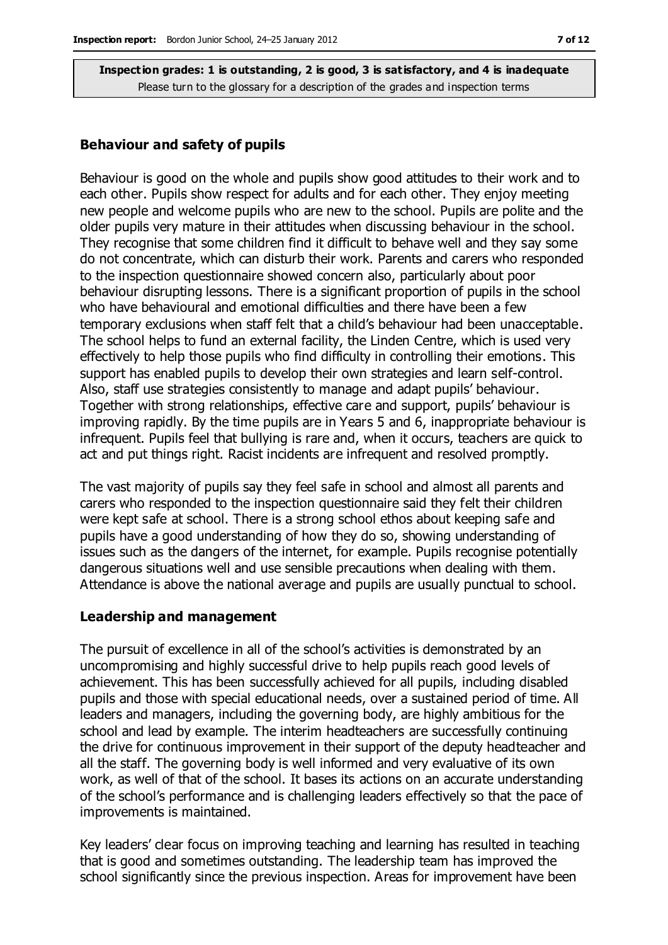**Inspection grades: 1 is outstanding, 2 is good, 3 is satisfactory, and 4 is inadequate**

Please turn to the glossary for a description of the grades and inspection terms

#### **Behaviour and safety of pupils**

Behaviour is good on the whole and pupils show good attitudes to their work and to each other. Pupils show respect for adults and for each other. They enjoy meeting new people and welcome pupils who are new to the school. Pupils are polite and the older pupils very mature in their attitudes when discussing behaviour in the school. They recognise that some children find it difficult to behave well and they say some do not concentrate, which can disturb their work. Parents and carers who responded to the inspection questionnaire showed concern also, particularly about poor behaviour disrupting lessons. There is a significant proportion of pupils in the school who have behavioural and emotional difficulties and there have been a few temporary exclusions when staff felt that a child's behaviour had been unacceptable. The school helps to fund an external facility, the Linden Centre, which is used very effectively to help those pupils who find difficulty in controlling their emotions. This support has enabled pupils to develop their own strategies and learn self-control. Also, staff use strategies consistently to manage and adapt pupils' behaviour. Together with strong relationships, effective care and support, pupils' behaviour is improving rapidly. By the time pupils are in Years 5 and 6, inappropriate behaviour is infrequent. Pupils feel that bullying is rare and, when it occurs, teachers are quick to act and put things right. Racist incidents are infrequent and resolved promptly.

The vast majority of pupils say they feel safe in school and almost all parents and carers who responded to the inspection questionnaire said they felt their children were kept safe at school. There is a strong school ethos about keeping safe and pupils have a good understanding of how they do so, showing understanding of issues such as the dangers of the internet, for example. Pupils recognise potentially dangerous situations well and use sensible precautions when dealing with them. Attendance is above the national average and pupils are usually punctual to school.

#### **Leadership and management**

The pursuit of excellence in all of the school's activities is demonstrated by an uncompromising and highly successful drive to help pupils reach good levels of achievement. This has been successfully achieved for all pupils, including disabled pupils and those with special educational needs, over a sustained period of time. All leaders and managers, including the governing body, are highly ambitious for the school and lead by example. The interim headteachers are successfully continuing the drive for continuous improvement in their support of the deputy headteacher and all the staff. The governing body is well informed and very evaluative of its own work, as well of that of the school. It bases its actions on an accurate understanding of the school's performance and is challenging leaders effectively so that the pace of improvements is maintained.

Key leaders' clear focus on improving teaching and learning has resulted in teaching that is good and sometimes outstanding. The leadership team has improved the school significantly since the previous inspection. Areas for improvement have been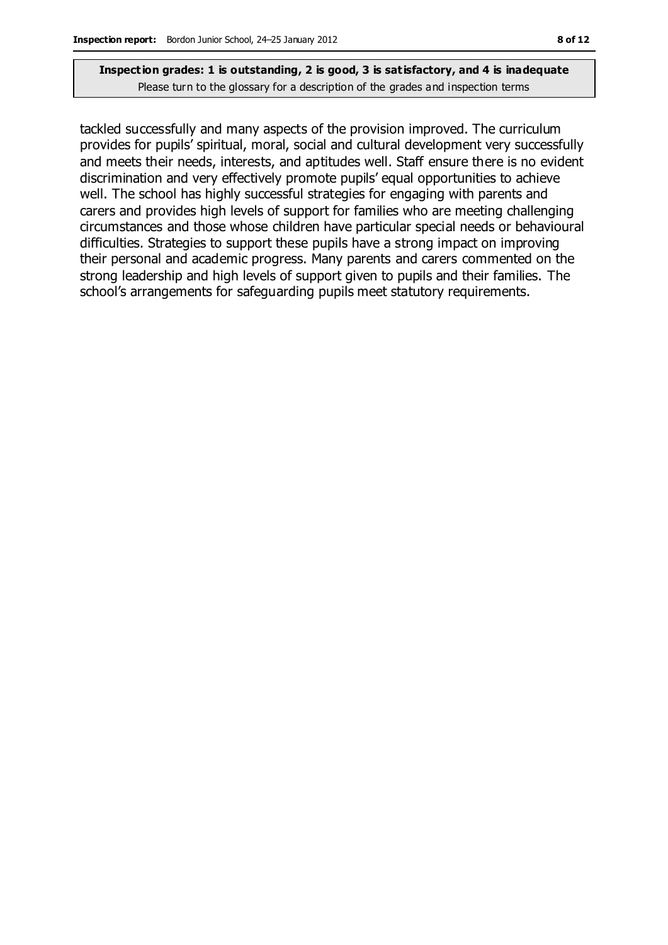tackled successfully and many aspects of the provision improved. The curriculum provides for pupils' spiritual, moral, social and cultural development very successfully and meets their needs, interests, and aptitudes well. Staff ensure there is no evident discrimination and very effectively promote pupils' equal opportunities to achieve well. The school has highly successful strategies for engaging with parents and carers and provides high levels of support for families who are meeting challenging circumstances and those whose children have particular special needs or behavioural difficulties. Strategies to support these pupils have a strong impact on improving their personal and academic progress. Many parents and carers commented on the strong leadership and high levels of support given to pupils and their families. The school's arrangements for safeguarding pupils meet statutory requirements.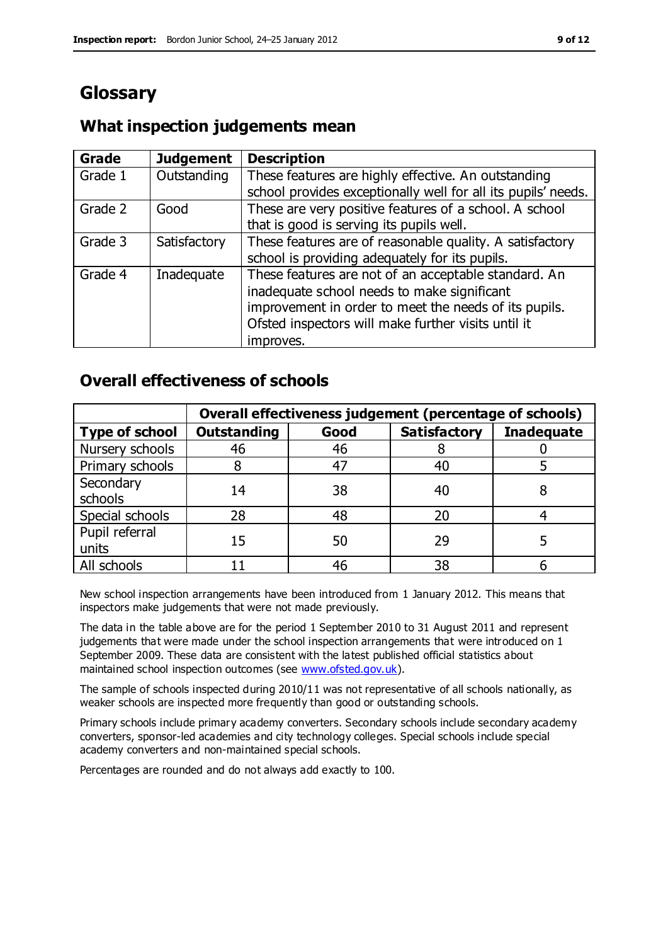# **Glossary**

### **What inspection judgements mean**

| Grade   | <b>Judgement</b> | <b>Description</b>                                            |
|---------|------------------|---------------------------------------------------------------|
| Grade 1 | Outstanding      | These features are highly effective. An outstanding           |
|         |                  | school provides exceptionally well for all its pupils' needs. |
| Grade 2 | Good             | These are very positive features of a school. A school        |
|         |                  | that is good is serving its pupils well.                      |
| Grade 3 | Satisfactory     | These features are of reasonable quality. A satisfactory      |
|         |                  | school is providing adequately for its pupils.                |
| Grade 4 | Inadequate       | These features are not of an acceptable standard. An          |
|         |                  | inadequate school needs to make significant                   |
|         |                  | improvement in order to meet the needs of its pupils.         |
|         |                  | Ofsted inspectors will make further visits until it           |
|         |                  | improves.                                                     |

### **Overall effectiveness of schools**

|                         | Overall effectiveness judgement (percentage of schools) |      |                     |                   |
|-------------------------|---------------------------------------------------------|------|---------------------|-------------------|
| <b>Type of school</b>   | <b>Outstanding</b>                                      | Good | <b>Satisfactory</b> | <b>Inadequate</b> |
| Nursery schools         | 46                                                      | 46   |                     |                   |
| Primary schools         |                                                         | 47   | 40                  |                   |
| Secondary<br>schools    | 14                                                      | 38   | 40                  |                   |
| Special schools         | 28                                                      | 48   | 20                  |                   |
| Pupil referral<br>units | 15                                                      | 50   | 29                  |                   |
| All schools             |                                                         | 46   | 38                  |                   |

New school inspection arrangements have been introduced from 1 January 2012. This means that inspectors make judgements that were not made previously.

The data in the table above are for the period 1 September 2010 to 31 August 2011 and represent judgements that were made under the school inspection arrangements that were introduced on 1 September 2009. These data are consistent with the latest published official statistics about maintained school inspection outcomes (see [www.ofsted.gov.uk\)](http://www.ofsted.gov.uk/).

The sample of schools inspected during 2010/11 was not representative of all schools nationally, as weaker schools are inspected more frequently than good or outstanding schools.

Primary schools include primary academy converters. Secondary schools include secondary academy converters, sponsor-led academies and city technology colleges. Special schools include special academy converters and non-maintained special schools.

Percentages are rounded and do not always add exactly to 100.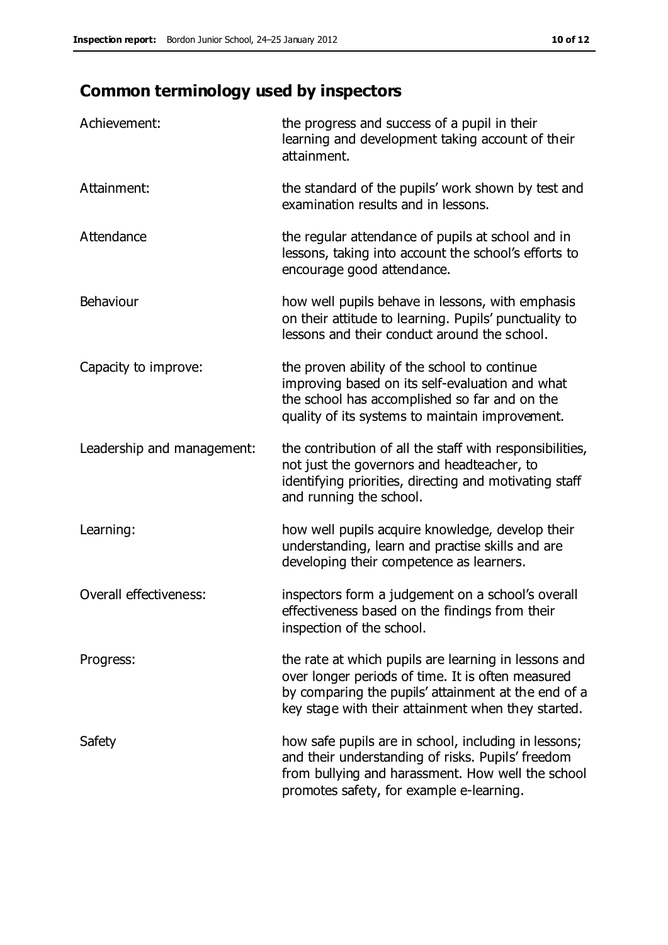# **Common terminology used by inspectors**

| Achievement:                  | the progress and success of a pupil in their<br>learning and development taking account of their<br>attainment.                                                                                                        |
|-------------------------------|------------------------------------------------------------------------------------------------------------------------------------------------------------------------------------------------------------------------|
| Attainment:                   | the standard of the pupils' work shown by test and<br>examination results and in lessons.                                                                                                                              |
| Attendance                    | the regular attendance of pupils at school and in<br>lessons, taking into account the school's efforts to<br>encourage good attendance.                                                                                |
| Behaviour                     | how well pupils behave in lessons, with emphasis<br>on their attitude to learning. Pupils' punctuality to<br>lessons and their conduct around the school.                                                              |
| Capacity to improve:          | the proven ability of the school to continue<br>improving based on its self-evaluation and what<br>the school has accomplished so far and on the<br>quality of its systems to maintain improvement.                    |
| Leadership and management:    | the contribution of all the staff with responsibilities,<br>not just the governors and headteacher, to<br>identifying priorities, directing and motivating staff<br>and running the school.                            |
| Learning:                     | how well pupils acquire knowledge, develop their<br>understanding, learn and practise skills and are<br>developing their competence as learners.                                                                       |
| <b>Overall effectiveness:</b> | inspectors form a judgement on a school's overall<br>effectiveness based on the findings from their<br>inspection of the school.                                                                                       |
| Progress:                     | the rate at which pupils are learning in lessons and<br>over longer periods of time. It is often measured<br>by comparing the pupils' attainment at the end of a<br>key stage with their attainment when they started. |
| Safety                        | how safe pupils are in school, including in lessons;<br>and their understanding of risks. Pupils' freedom<br>from bullying and harassment. How well the school<br>promotes safety, for example e-learning.             |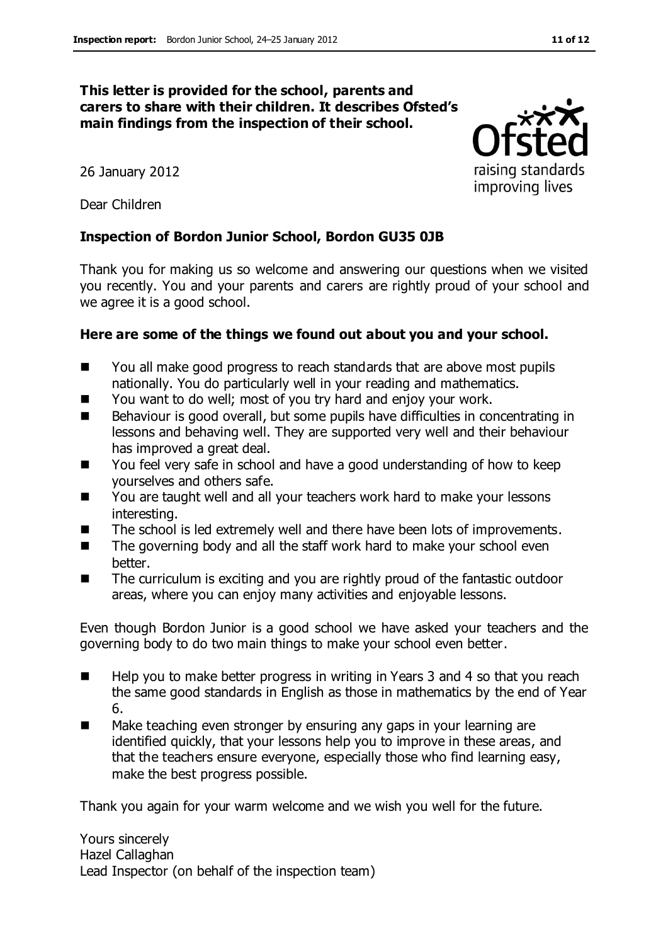#### **This letter is provided for the school, parents and carers to share with their children. It describes Ofsted's main findings from the inspection of their school.**

26 January 2012

Dear Children

### **Inspection of Bordon Junior School, Bordon GU35 0JB**

Thank you for making us so welcome and answering our questions when we visited you recently. You and your parents and carers are rightly proud of your school and we agree it is a good school.

### **Here are some of the things we found out about you and your school.**

- You all make good progress to reach standards that are above most pupils nationally. You do particularly well in your reading and mathematics.
- You want to do well; most of you try hard and enjoy your work.
- Behaviour is good overall, but some pupils have difficulties in concentrating in lessons and behaving well. They are supported very well and their behaviour has improved a great deal.
- You feel very safe in school and have a good understanding of how to keep yourselves and others safe.
- You are taught well and all your teachers work hard to make your lessons interesting.
- The school is led extremely well and there have been lots of improvements.
- $\blacksquare$  The governing body and all the staff work hard to make your school even better.
- The curriculum is exciting and you are rightly proud of the fantastic outdoor areas, where you can enjoy many activities and enjoyable lessons.

Even though Bordon Junior is a good school we have asked your teachers and the governing body to do two main things to make your school even better.

- Help you to make better progress in writing in Years 3 and 4 so that you reach the same good standards in English as those in mathematics by the end of Year 6.
- Make teaching even stronger by ensuring any gaps in your learning are identified quickly, that your lessons help you to improve in these areas, and that the teachers ensure everyone, especially those who find learning easy, make the best progress possible.

Thank you again for your warm welcome and we wish you well for the future.

Yours sincerely Hazel Callaghan Lead Inspector (on behalf of the inspection team)